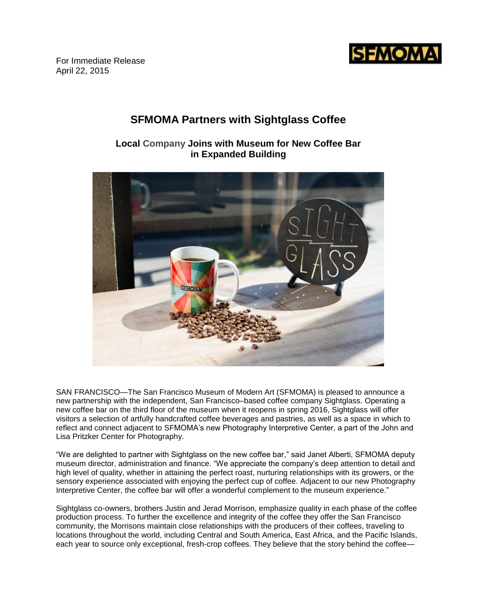

For Immediate Release April 22, 2015

# **SFMOMA Partners with Sightglass Coffee**

**Local Company Joins with Museum for New Coffee Bar in Expanded Building**



SAN FRANCISCO—The San Francisco Museum of Modern Art (SFMOMA) is pleased to announce a new partnership with the independent, San Francisco–based coffee company Sightglass. Operating a new coffee bar on the third floor of the museum when it reopens in spring 2016, Sightglass will offer visitors a selection of artfully handcrafted coffee beverages and pastries, as well as a space in which to reflect and connect adjacent to SFMOMA's new Photography Interpretive Center, a part of the John and Lisa Pritzker Center for Photography.

"We are delighted to partner with Sightglass on the new coffee bar," said Janet Alberti, SFMOMA deputy museum director, administration and finance. "We appreciate the company's deep attention to detail and high level of quality, whether in attaining the perfect roast, nurturing relationships with its growers, or the sensory experience associated with enjoying the perfect cup of coffee. Adjacent to our new Photography Interpretive Center, the coffee bar will offer a wonderful complement to the museum experience."

Sightglass co-owners, brothers Justin and Jerad Morrison, emphasize quality in each phase of the coffee production process. To further the excellence and integrity of the coffee they offer the San Francisco community, the Morrisons maintain close relationships with the producers of their coffees, traveling to locations throughout the world, including Central and South America, East Africa, and the Pacific Islands, each year to source only exceptional, fresh-crop coffees. They believe that the story behind the coffee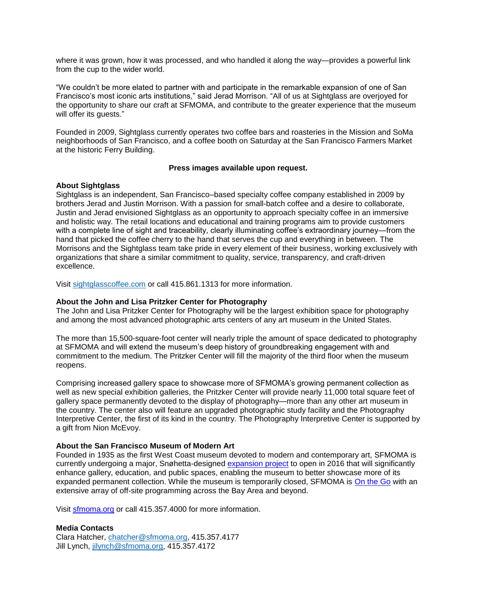where it was grown, how it was processed, and who handled it along the way—provides a powerful link from the cup to the wider world.

"We couldn't be more elated to partner with and participate in the remarkable expansion of one of San Francisco's most iconic arts institutions," said Jerad Morrison. "All of us at Sightglass are overjoyed for the opportunity to share our craft at SFMOMA, and contribute to the greater experience that the museum will offer its guests."

Founded in 2009, Sightglass currently operates two coffee bars and roasteries in the Mission and SoMa neighborhoods of San Francisco, and a coffee booth on Saturday at the San Francisco Farmers Market at the historic Ferry Building.

### **Press images available upon request.**

### **About Sightglass**

Sightglass is an independent, San Francisco–based specialty coffee company established in 2009 by brothers Jerad and Justin Morrison. With a passion for small-batch coffee and a desire to collaborate, Justin and Jerad envisioned Sightglass as an opportunity to approach specialty coffee in an immersive and holistic way. The retail locations and educational and training programs aim to provide customers with a complete line of sight and traceability, clearly illuminating coffee's extraordinary journey—from the hand that picked the coffee cherry to the hand that serves the cup and everything in between. The Morrisons and the Sightglass team take pride in every element of their business, working exclusively with organizations that share a similar commitment to quality, service, transparency, and craft-driven excellence.

Visit [sightglasscoffee.com](https://www.sightglasscoffee.com/) or call 415.861.1313 for more information.

## **About the John and Lisa Pritzker Center for Photography**

The John and Lisa Pritzker Center for Photography will be the largest exhibition space for photography and among the most advanced photographic arts centers of any art museum in the United States.

The more than 15,500-square-foot center will nearly triple the amount of space dedicated to photography at SFMOMA and will extend the museum's deep history of groundbreaking engagement with and commitment to the medium. The Pritzker Center will fill the majority of the third floor when the museum reopens.

Comprising increased gallery space to showcase more of SFMOMA's growing permanent collection as well as new special exhibition galleries, the Pritzker Center will provide nearly 11,000 total square feet of gallery space permanently devoted to the display of photography—more than any other art museum in the country. The center also will feature an upgraded photographic study facility and the Photography Interpretive Center, the first of its kind in the country. The Photography Interpretive Center is supported by a gift from Nion McEvoy.

#### **About the San Francisco Museum of Modern Art**

Founded in 1935 as the first West Coast museum devoted to modern and contemporary art, SFMOMA is currently undergoing a major, Snøhetta-designed [expansion project](http://future.sfmoma.org/) to open in 2016 that will significantly enhance gallery, education, and public spaces, enabling the museum to better showcase more of its expanded permanent collection. While the museum is temporarily closed, SFMOMA is [On the Go](http://www.sfmoma.org/exhib_events) with an extensive array of off-site programming across the Bay Area and beyond.

Visit [sfmoma.org](http://www.sfmoma.org/) or call 415.357.4000 for more information.

# **Media Contacts**

Clara Hatcher, [chatcher@sfmoma.org,](mailto:chatcher@sfmoma.org) 415.357.4177 Jill Lynch, [jilynch@sfmoma.org,](mailto:jilynch@sfmoma.org) 415.357.4172